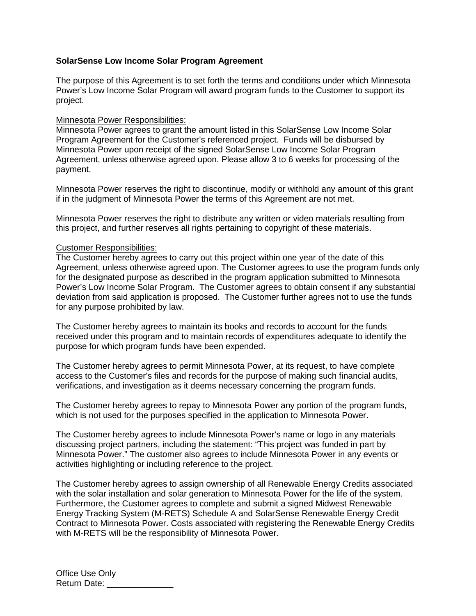## **SolarSense Low Income Solar Program Agreement**

The purpose of this Agreement is to set forth the terms and conditions under which Minnesota Power's Low Income Solar Program will award program funds to the Customer to support its project.

## Minnesota Power Responsibilities:

Minnesota Power agrees to grant the amount listed in this SolarSense Low Income Solar Program Agreement for the Customer's referenced project. Funds will be disbursed by Minnesota Power upon receipt of the signed SolarSense Low Income Solar Program Agreement, unless otherwise agreed upon. Please allow 3 to 6 weeks for processing of the payment.

Minnesota Power reserves the right to discontinue, modify or withhold any amount of this grant if in the judgment of Minnesota Power the terms of this Agreement are not met.

Minnesota Power reserves the right to distribute any written or video materials resulting from this project, and further reserves all rights pertaining to copyright of these materials.

## Customer Responsibilities:

The Customer hereby agrees to carry out this project within one year of the date of this Agreement, unless otherwise agreed upon. The Customer agrees to use the program funds only for the designated purpose as described in the program application submitted to Minnesota Power's Low Income Solar Program. The Customer agrees to obtain consent if any substantial deviation from said application is proposed. The Customer further agrees not to use the funds for any purpose prohibited by law.

The Customer hereby agrees to maintain its books and records to account for the funds received under this program and to maintain records of expenditures adequate to identify the purpose for which program funds have been expended.

The Customer hereby agrees to permit Minnesota Power, at its request, to have complete access to the Customer's files and records for the purpose of making such financial audits, verifications, and investigation as it deems necessary concerning the program funds.

The Customer hereby agrees to repay to Minnesota Power any portion of the program funds, which is not used for the purposes specified in the application to Minnesota Power.

The Customer hereby agrees to include Minnesota Power's name or logo in any materials discussing project partners, including the statement: "This project was funded in part by Minnesota Power." The customer also agrees to include Minnesota Power in any events or activities highlighting or including reference to the project.

The Customer hereby agrees to assign ownership of all Renewable Energy Credits associated with the solar installation and solar generation to Minnesota Power for the life of the system. Furthermore, the Customer agrees to complete and submit a signed Midwest Renewable Energy Tracking System (M-RETS) Schedule A and SolarSense Renewable Energy Credit Contract to Minnesota Power. Costs associated with registering the Renewable Energy Credits with M-RETS will be the responsibility of Minnesota Power.

Office Use Only Return Date: \_\_\_\_\_\_\_\_\_\_\_\_\_\_